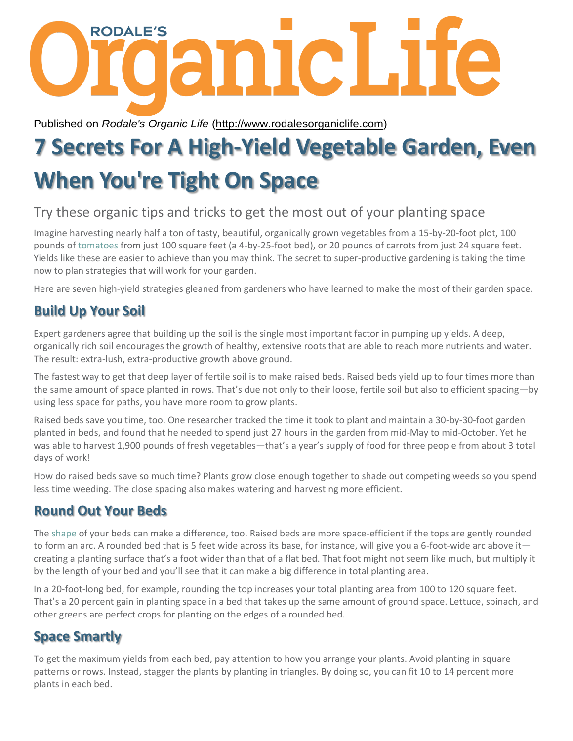

Published on *Rodale's Organic Life* [\(http://www.rodalesorganiclife.com\)](http://www.rodalesorganiclife.com/)

# **7 Secrets For A High-Yield Vegetable Garden, Even When You're Tight On Space**

# Try these organic tips and tricks to get the most out of your planting space

Imagine harvesting nearly half a ton of tasty, beautiful, organically grown vegetables from a 15-by-20-foot plot, 100 pounds of [tomatoes](http://www.amazon.com/s?url=search-alias%3Daps&field-keywords=tomatoes) from just 100 square feet (a 4-by-25-foot bed), or 20 pounds of carrots from just 24 square feet. Yields like these are easier to achieve than you may think. The secret to super-productive gardening is taking the time now to plan strategies that will work for your garden.

Here are seven high-yield strategies gleaned from gardeners who have learned to make the most of their garden space.

## **Build Up Your Soil**

Expert gardeners agree that building up the soil is the single most important factor in pumping up yields. A deep, organically rich soil encourages the growth of healthy, extensive roots that are able to reach more nutrients and water. The result: extra-lush, extra-productive growth above ground.

The fastest way to get that deep layer of fertile soil is to make raised beds. Raised beds yield up to four times more than the same amount of space planted in rows. That's due not only to their loose, fertile soil but also to efficient spacing—by using less space for paths, you have more room to grow plants.

Raised beds save you time, too. One researcher tracked the time it took to plant and maintain a 30-by-30-foot garden planted in beds, and found that he needed to spend just 27 hours in the garden from mid-May to mid-October. Yet he was able to harvest 1,900 pounds of fresh vegetables—that's a year's supply of food for three people from about 3 total days of work!

How do raised beds save so much time? Plants grow close enough together to shade out competing weeds so you spend less time weeding. The close spacing also makes watering and harvesting more efficient.

## **Round Out Your Beds**

The [shape](http://www.fitin10bellyfix.com/pt?keycode=259203&utm_source=ROL&utm_medium=Web&utm_campaign=vigShape) of your beds can make a difference, too. Raised beds are more space-efficient if the tops are gently rounded to form an arc. A rounded bed that is 5 feet wide across its base, for instance, will give you a 6-foot-wide arc above it creating a planting surface that's a foot wider than that of a flat bed. That foot might not seem like much, but multiply it by the length of your bed and you'll see that it can make a big difference in total planting area.

In a 20-foot-long bed, for example, rounding the top increases your total planting area from 100 to 120 square feet. That's a 20 percent gain in planting space in a bed that takes up the same amount of ground space. Lettuce, spinach, and other greens are perfect crops for planting on the edges of a rounded bed.

## **Space Smartly**

To get the maximum yields from each bed, pay attention to how you arrange your plants. Avoid planting in square patterns or rows. Instead, stagger the plants by planting in triangles. By doing so, you can fit 10 to 14 percent more plants in each bed.